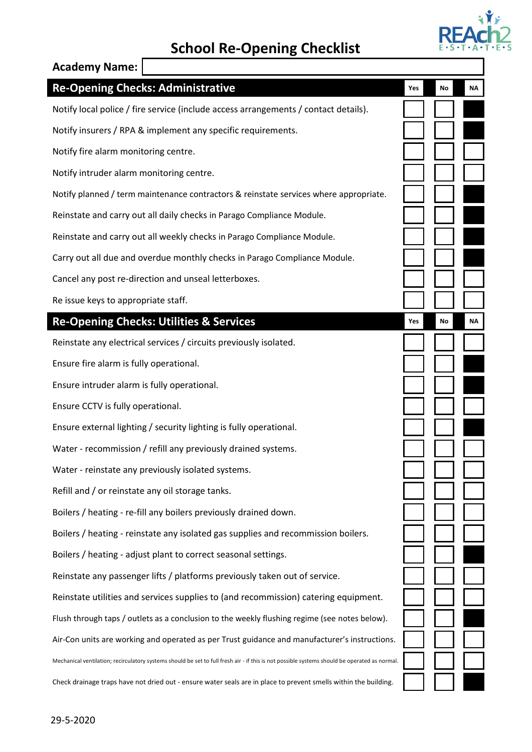

## **School Re-Opening Checklist**

| <b>Academy Name:</b>                                                                                                                          |     |    |    |
|-----------------------------------------------------------------------------------------------------------------------------------------------|-----|----|----|
| <b>Re-Opening Checks: Administrative</b>                                                                                                      | Yes | No | NΑ |
| Notify local police / fire service (include access arrangements / contact details).                                                           |     |    |    |
| Notify insurers / RPA & implement any specific requirements.                                                                                  |     |    |    |
| Notify fire alarm monitoring centre.                                                                                                          |     |    |    |
| Notify intruder alarm monitoring centre.                                                                                                      |     |    |    |
| Notify planned / term maintenance contractors & reinstate services where appropriate.                                                         |     |    |    |
| Reinstate and carry out all daily checks in Parago Compliance Module.                                                                         |     |    |    |
| Reinstate and carry out all weekly checks in Parago Compliance Module.                                                                        |     |    |    |
| Carry out all due and overdue monthly checks in Parago Compliance Module.                                                                     |     |    |    |
| Cancel any post re-direction and unseal letterboxes.                                                                                          |     |    |    |
| Re issue keys to appropriate staff.                                                                                                           |     |    |    |
| <b>Re-Opening Checks: Utilities &amp; Services</b>                                                                                            | Yes | No | NΑ |
| Reinstate any electrical services / circuits previously isolated.                                                                             |     |    |    |
| Ensure fire alarm is fully operational.                                                                                                       |     |    |    |
| Ensure intruder alarm is fully operational.                                                                                                   |     |    |    |
| Ensure CCTV is fully operational.                                                                                                             |     |    |    |
| Ensure external lighting / security lighting is fully operational.                                                                            |     |    |    |
| Water - recommission / refill any previously drained systems.                                                                                 |     |    |    |
| Water - reinstate any previously isolated systems.                                                                                            |     |    |    |
| Refill and / or reinstate any oil storage tanks.                                                                                              |     |    |    |
| Boilers / heating - re-fill any boilers previously drained down.                                                                              |     |    |    |
| Boilers / heating - reinstate any isolated gas supplies and recommission boilers.                                                             |     |    |    |
| Boilers / heating - adjust plant to correct seasonal settings.                                                                                |     |    |    |
| Reinstate any passenger lifts / platforms previously taken out of service.                                                                    |     |    |    |
| Reinstate utilities and services supplies to (and recommission) catering equipment.                                                           |     |    |    |
| Flush through taps / outlets as a conclusion to the weekly flushing regime (see notes below).                                                 |     |    |    |
| Air-Con units are working and operated as per Trust guidance and manufacturer's instructions.                                                 |     |    |    |
| Mechanical ventilation; recirculatory systems should be set to full fresh air - if this is not possible systems should be operated as normal. |     |    |    |
| Check drainage traps have not dried out - ensure water seals are in place to prevent smells within the building.                              |     |    |    |